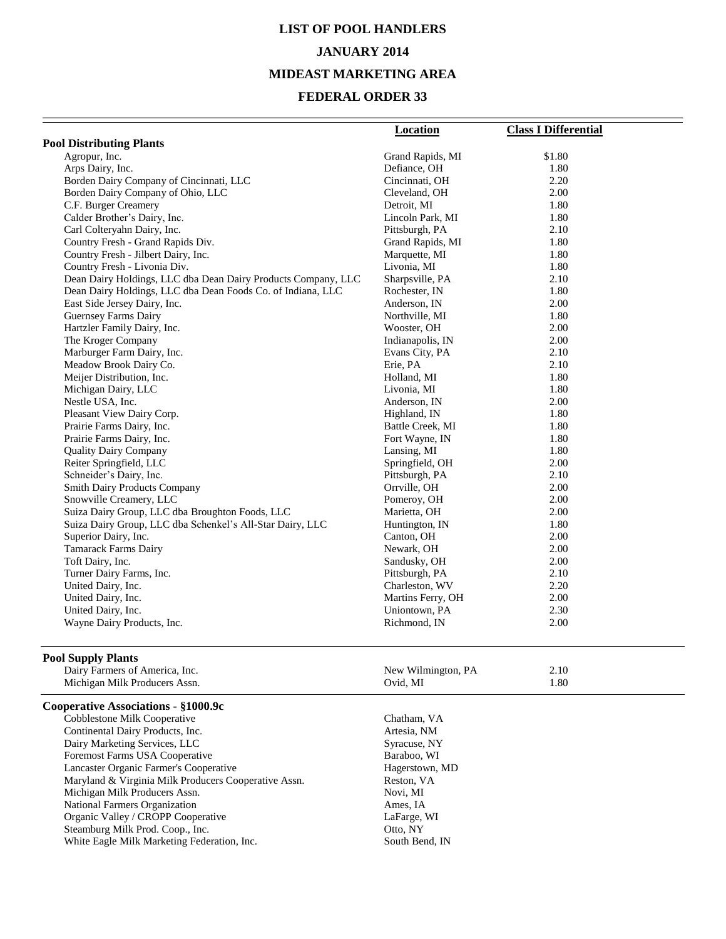## **LIST OF POOL HANDLERS JANUARY 2014 MIDEAST MARKETING AREA**

|                                                               | <b>Location</b>               | <b>Class I Differential</b> |
|---------------------------------------------------------------|-------------------------------|-----------------------------|
| <b>Pool Distributing Plants</b>                               |                               |                             |
| Agropur, Inc.                                                 | Grand Rapids, MI              | \$1.80                      |
| Arps Dairy, Inc.                                              | Defiance, OH                  | 1.80                        |
| Borden Dairy Company of Cincinnati, LLC                       | Cincinnati, OH                | 2.20                        |
| Borden Dairy Company of Ohio, LLC                             | Cleveland, OH                 | 2.00                        |
| C.F. Burger Creamery                                          | Detroit, MI                   | 1.80                        |
| Calder Brother's Dairy, Inc.                                  | Lincoln Park, MI              | 1.80                        |
| Carl Colteryahn Dairy, Inc.                                   | Pittsburgh, PA                | 2.10                        |
| Country Fresh - Grand Rapids Div.                             | Grand Rapids, MI              | 1.80                        |
| Country Fresh - Jilbert Dairy, Inc.                           | Marquette, MI                 | 1.80                        |
| Country Fresh - Livonia Div.                                  | Livonia, MI                   | 1.80                        |
| Dean Dairy Holdings, LLC dba Dean Dairy Products Company, LLC | Sharpsville, PA               | 2.10                        |
| Dean Dairy Holdings, LLC dba Dean Foods Co. of Indiana, LLC   | Rochester, IN                 | 1.80                        |
| East Side Jersey Dairy, Inc.                                  | Anderson, IN                  | 2.00                        |
| Guernsey Farms Dairy                                          | Northville, MI                | 1.80                        |
| Hartzler Family Dairy, Inc.                                   | Wooster, OH                   | 2.00                        |
| The Kroger Company                                            | Indianapolis, IN              | 2.00                        |
| Marburger Farm Dairy, Inc.                                    | Evans City, PA                | 2.10                        |
| Meadow Brook Dairy Co.                                        | Erie, PA                      | 2.10                        |
| Meijer Distribution, Inc.                                     | Holland, MI                   | 1.80                        |
| Michigan Dairy, LLC                                           | Livonia, MI                   | 1.80                        |
| Nestle USA, Inc.                                              | Anderson, IN                  | 2.00<br>1.80                |
| Pleasant View Dairy Corp.                                     | Highland, IN                  |                             |
| Prairie Farms Dairy, Inc.<br>Prairie Farms Dairy, Inc.        | Battle Creek, MI              | 1.80<br>1.80                |
| <b>Quality Dairy Company</b>                                  | Fort Wayne, IN<br>Lansing, MI | 1.80                        |
| Reiter Springfield, LLC                                       | Springfield, OH               | 2.00                        |
| Schneider's Dairy, Inc.                                       | Pittsburgh, PA                | 2.10                        |
| <b>Smith Dairy Products Company</b>                           | Orrville, OH                  | 2.00                        |
| Snowville Creamery, LLC                                       | Pomeroy, OH                   | 2.00                        |
| Suiza Dairy Group, LLC dba Broughton Foods, LLC               | Marietta, OH                  | 2.00                        |
| Suiza Dairy Group, LLC dba Schenkel's All-Star Dairy, LLC     | Huntington, IN                | 1.80                        |
| Superior Dairy, Inc.                                          | Canton, OH                    | 2.00                        |
| Tamarack Farms Dairy                                          | Newark, OH                    | 2.00                        |
| Toft Dairy, Inc.                                              | Sandusky, OH                  | 2.00                        |
| Turner Dairy Farms, Inc.                                      | Pittsburgh, PA                | 2.10                        |
| United Dairy, Inc.                                            | Charleston, WV                | 2.20                        |
| United Dairy, Inc.                                            | Martins Ferry, OH             | 2.00                        |
| United Dairy, Inc.                                            | Uniontown, PA                 | 2.30                        |
| Wayne Dairy Products, Inc.                                    | Richmond, IN                  | 2.00                        |
|                                                               |                               |                             |
| <b>Pool Supply Plants</b>                                     |                               |                             |
| Dairy Farmers of America, Inc.                                | New Wilmington, PA            | 2.10                        |
| Michigan Milk Producers Assn.                                 | Ovid, MI                      | 1.80                        |
| Cooperative Associations - §1000.9c                           |                               |                             |
| Cobblestone Milk Cooperative                                  | Chatham, VA                   |                             |
| Continental Dairy Products, Inc.                              | Artesia, NM                   |                             |
| Dairy Marketing Services, LLC                                 | Syracuse, NY                  |                             |
| Foremost Farms USA Cooperative                                | Baraboo, WI                   |                             |
| Lancaster Organic Farmer's Cooperative                        | Hagerstown, MD                |                             |
| Maryland & Virginia Milk Producers Cooperative Assn.          | Reston, VA                    |                             |
| Michigan Milk Producers Assn.                                 | Novi, MI                      |                             |
| National Farmers Organization                                 | Ames, IA                      |                             |
| Organic Valley / CROPP Cooperative                            | LaFarge, WI                   |                             |
| Steamburg Milk Prod. Coop., Inc.                              | Otto, NY                      |                             |
| White Eagle Milk Marketing Federation, Inc.                   | South Bend, IN                |                             |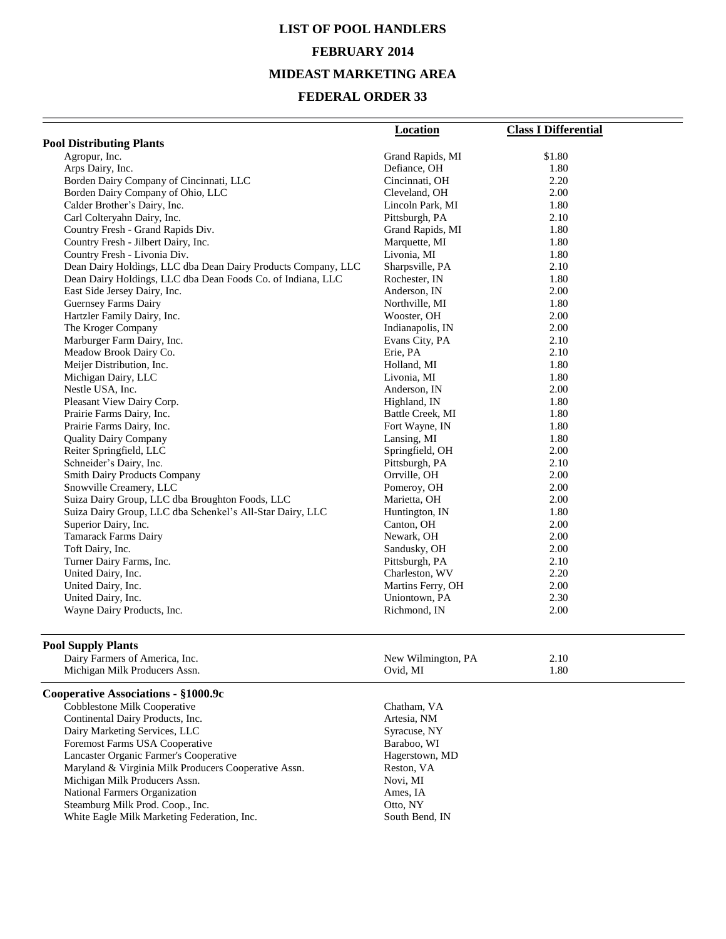# **LIST OF POOL HANDLERS FEBRUARY 2014 MIDEAST MARKETING AREA**

|                                                               | <b>Location</b>    | <b>Class I Differential</b> |
|---------------------------------------------------------------|--------------------|-----------------------------|
| <b>Pool Distributing Plants</b>                               |                    |                             |
| Agropur, Inc.                                                 | Grand Rapids, MI   | \$1.80                      |
| Arps Dairy, Inc.                                              | Defiance, OH       | 1.80                        |
| Borden Dairy Company of Cincinnati, LLC                       | Cincinnati, OH     | 2.20                        |
| Borden Dairy Company of Ohio, LLC                             | Cleveland, OH      | 2.00                        |
| Calder Brother's Dairy, Inc.                                  | Lincoln Park, MI   | 1.80                        |
| Carl Colteryahn Dairy, Inc.                                   | Pittsburgh, PA     | 2.10                        |
| Country Fresh - Grand Rapids Div.                             | Grand Rapids, MI   | 1.80                        |
| Country Fresh - Jilbert Dairy, Inc.                           | Marquette, MI      | 1.80                        |
| Country Fresh - Livonia Div.                                  | Livonia, MI        | 1.80                        |
| Dean Dairy Holdings, LLC dba Dean Dairy Products Company, LLC | Sharpsville, PA    | 2.10                        |
| Dean Dairy Holdings, LLC dba Dean Foods Co. of Indiana, LLC   | Rochester, IN      | 1.80                        |
| East Side Jersey Dairy, Inc.                                  | Anderson, IN       | 2.00                        |
| Guernsey Farms Dairy                                          | Northville, MI     | 1.80                        |
| Hartzler Family Dairy, Inc.                                   | Wooster, OH        | 2.00                        |
| The Kroger Company                                            | Indianapolis, IN   | 2.00                        |
| Marburger Farm Dairy, Inc.                                    | Evans City, PA     | 2.10                        |
| Meadow Brook Dairy Co.                                        | Erie, PA           | 2.10                        |
| Meijer Distribution, Inc.                                     | Holland, MI        | 1.80                        |
| Michigan Dairy, LLC                                           | Livonia, MI        | 1.80                        |
| Nestle USA, Inc.                                              | Anderson, IN       | 2.00                        |
| Pleasant View Dairy Corp.                                     | Highland, IN       | 1.80                        |
| Prairie Farms Dairy, Inc.                                     | Battle Creek, MI   | 1.80                        |
| Prairie Farms Dairy, Inc.                                     | Fort Wayne, IN     | 1.80                        |
| <b>Quality Dairy Company</b>                                  | Lansing, MI        | 1.80                        |
| Reiter Springfield, LLC                                       | Springfield, OH    | 2.00                        |
| Schneider's Dairy, Inc.                                       | Pittsburgh, PA     | 2.10                        |
| <b>Smith Dairy Products Company</b>                           | Orrville, OH       | 2.00                        |
| Snowville Creamery, LLC                                       | Pomeroy, OH        | 2.00                        |
| Suiza Dairy Group, LLC dba Broughton Foods, LLC               | Marietta, OH       | 2.00                        |
| Suiza Dairy Group, LLC dba Schenkel's All-Star Dairy, LLC     | Huntington, IN     | 1.80                        |
| Superior Dairy, Inc.                                          | Canton, OH         | 2.00                        |
| Tamarack Farms Dairy                                          | Newark, OH         | 2.00                        |
| Toft Dairy, Inc.                                              | Sandusky, OH       | 2.00                        |
| Turner Dairy Farms, Inc.                                      | Pittsburgh, PA     | 2.10                        |
| United Dairy, Inc.                                            | Charleston, WV     | 2.20                        |
| United Dairy, Inc.                                            | Martins Ferry, OH  | 2.00                        |
| United Dairy, Inc.                                            | Uniontown, PA      | 2.30                        |
| Wayne Dairy Products, Inc.                                    | Richmond, IN       | 2.00                        |
| <b>Pool Supply Plants</b>                                     |                    |                             |
| Dairy Farmers of America, Inc.                                | New Wilmington, PA | 2.10                        |
| Michigan Milk Producers Assn.                                 | Ovid, MI           | 1.80                        |
| Cooperative Associations - §1000.9c                           |                    |                             |
| Cobblestone Milk Cooperative                                  | Chatham, VA        |                             |
| Continental Dairy Products, Inc.                              | Artesia, NM        |                             |
| Dairy Marketing Services, LLC                                 | Syracuse, NY       |                             |
| Foremost Farms USA Cooperative                                | Baraboo, WI        |                             |
| Lancaster Organic Farmer's Cooperative                        | Hagerstown, MD     |                             |
| Maryland & Virginia Milk Producers Cooperative Assn.          | Reston, VA         |                             |
| Michigan Milk Producers Assn.                                 | Novi, MI           |                             |
| National Farmers Organization                                 | Ames, IA           |                             |
| Steamburg Milk Prod. Coop., Inc.                              | Otto, NY           |                             |
| White Eagle Milk Marketing Federation, Inc.                   | South Bend, IN     |                             |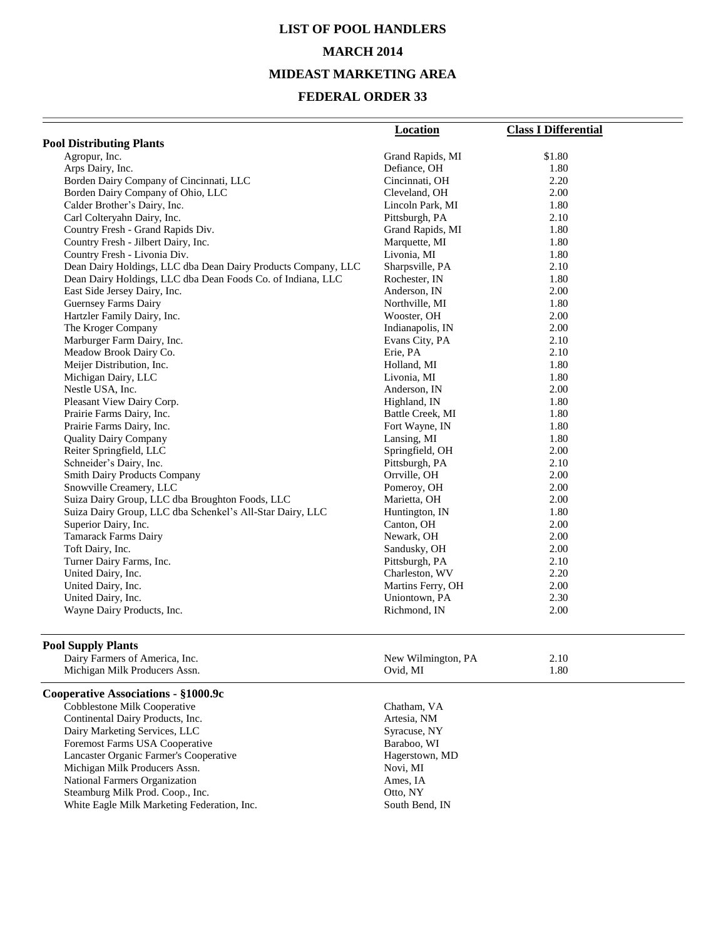# **LIST OF POOL HANDLERS MARCH 2014 MIDEAST MARKETING AREA**

|                                                               | <b>Location</b>    | <b>Class I Differential</b> |
|---------------------------------------------------------------|--------------------|-----------------------------|
| <b>Pool Distributing Plants</b>                               |                    |                             |
| Agropur, Inc.                                                 | Grand Rapids, MI   | \$1.80                      |
| Arps Dairy, Inc.                                              | Defiance, OH       | 1.80                        |
| Borden Dairy Company of Cincinnati, LLC                       | Cincinnati, OH     | 2.20                        |
| Borden Dairy Company of Ohio, LLC                             | Cleveland, OH      | 2.00                        |
| Calder Brother's Dairy, Inc.                                  | Lincoln Park, MI   | 1.80                        |
| Carl Colteryahn Dairy, Inc.                                   | Pittsburgh, PA     | 2.10                        |
| Country Fresh - Grand Rapids Div.                             | Grand Rapids, MI   | 1.80                        |
| Country Fresh - Jilbert Dairy, Inc.                           | Marquette, MI      | 1.80                        |
| Country Fresh - Livonia Div.                                  | Livonia, MI        | 1.80                        |
| Dean Dairy Holdings, LLC dba Dean Dairy Products Company, LLC | Sharpsville, PA    | 2.10                        |
| Dean Dairy Holdings, LLC dba Dean Foods Co. of Indiana, LLC   | Rochester, IN      | 1.80                        |
| East Side Jersey Dairy, Inc.                                  | Anderson, IN       | 2.00                        |
| Guernsey Farms Dairy                                          | Northville, MI     | 1.80                        |
| Hartzler Family Dairy, Inc.                                   | Wooster, OH        | 2.00                        |
| The Kroger Company                                            | Indianapolis, IN   | 2.00                        |
| Marburger Farm Dairy, Inc.                                    | Evans City, PA     | 2.10                        |
| Meadow Brook Dairy Co.                                        | Erie, PA           | 2.10                        |
| Meijer Distribution, Inc.                                     | Holland, MI        | 1.80                        |
| Michigan Dairy, LLC                                           | Livonia, MI        | 1.80                        |
| Nestle USA, Inc.                                              | Anderson, IN       | 2.00                        |
| Pleasant View Dairy Corp.                                     | Highland, IN       | 1.80                        |
| Prairie Farms Dairy, Inc.                                     | Battle Creek, MI   | 1.80                        |
| Prairie Farms Dairy, Inc.                                     | Fort Wayne, IN     | 1.80                        |
| <b>Quality Dairy Company</b>                                  | Lansing, MI        | 1.80                        |
| Reiter Springfield, LLC                                       | Springfield, OH    | 2.00                        |
| Schneider's Dairy, Inc.                                       | Pittsburgh, PA     | 2.10                        |
| <b>Smith Dairy Products Company</b>                           | Orrville, OH       | 2.00                        |
| Snowville Creamery, LLC                                       | Pomeroy, OH        | 2.00                        |
| Suiza Dairy Group, LLC dba Broughton Foods, LLC               | Marietta, OH       | 2.00                        |
| Suiza Dairy Group, LLC dba Schenkel's All-Star Dairy, LLC     | Huntington, IN     | 1.80                        |
| Superior Dairy, Inc.                                          | Canton, OH         | 2.00                        |
| <b>Tamarack Farms Dairy</b>                                   | Newark, OH         | 2.00                        |
| Toft Dairy, Inc.                                              | Sandusky, OH       | 2.00                        |
| Turner Dairy Farms, Inc.                                      | Pittsburgh, PA     | 2.10                        |
| United Dairy, Inc.                                            | Charleston, WV     | 2.20                        |
| United Dairy, Inc.                                            | Martins Ferry, OH  | 2.00                        |
| United Dairy, Inc.                                            | Uniontown, PA      | 2.30                        |
| Wayne Dairy Products, Inc.                                    | Richmond, IN       | 2.00                        |
| <b>Pool Supply Plants</b>                                     |                    |                             |
| Dairy Farmers of America, Inc.                                | New Wilmington, PA | 2.10                        |
| Michigan Milk Producers Assn.                                 | Ovid, MI           | 1.80                        |
| Cooperative Associations - §1000.9c                           |                    |                             |
| Cobblestone Milk Cooperative                                  | Chatham, VA        |                             |
| Continental Dairy Products, Inc.                              | Artesia, NM        |                             |
| Dairy Marketing Services, LLC                                 | Syracuse, NY       |                             |
| Foremost Farms USA Cooperative                                | Baraboo, WI        |                             |
| Lancaster Organic Farmer's Cooperative                        | Hagerstown, MD     |                             |
| Michigan Milk Producers Assn.                                 | Novi, MI           |                             |
| National Farmers Organization                                 | Ames, IA           |                             |
| Steamburg Milk Prod. Coop., Inc.                              | Otto, NY           |                             |
| White Eagle Milk Marketing Federation, Inc.                   | South Bend, IN     |                             |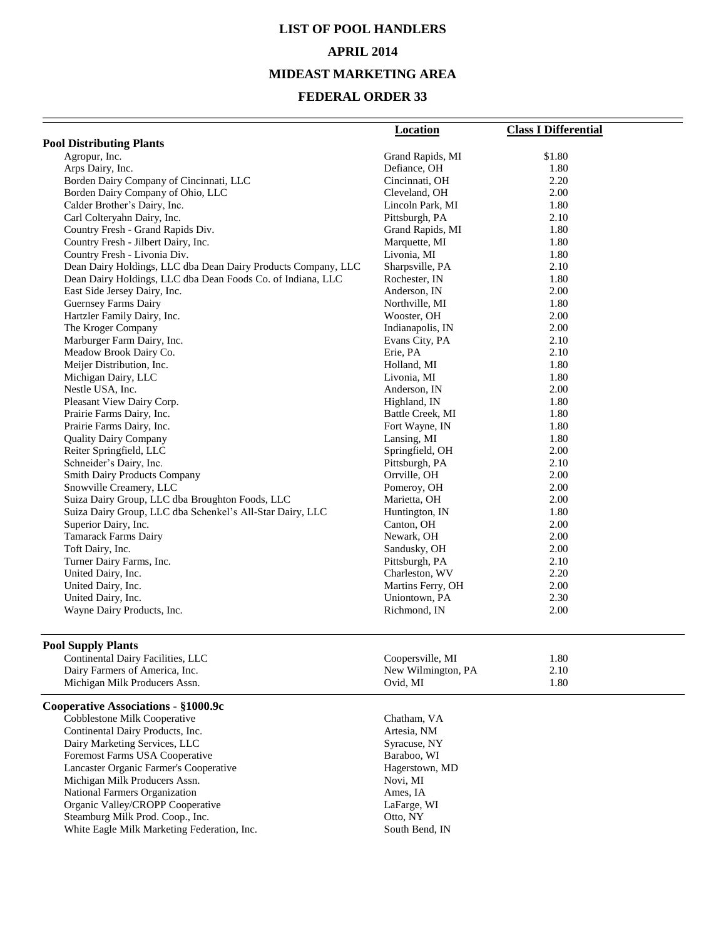## **LIST OF POOL HANDLERS APRIL 2014**

#### **MIDEAST MARKETING AREA**

|                                                               | <b>Location</b>    | <b>Class I Differential</b> |
|---------------------------------------------------------------|--------------------|-----------------------------|
| <b>Pool Distributing Plants</b>                               |                    |                             |
| Agropur, Inc.                                                 | Grand Rapids, MI   | \$1.80                      |
| Arps Dairy, Inc.                                              | Defiance, OH       | 1.80                        |
| Borden Dairy Company of Cincinnati, LLC                       | Cincinnati, OH     | 2.20                        |
| Borden Dairy Company of Ohio, LLC                             | Cleveland, OH      | 2.00                        |
| Calder Brother's Dairy, Inc.                                  | Lincoln Park, MI   | 1.80                        |
| Carl Colteryahn Dairy, Inc.                                   | Pittsburgh, PA     | 2.10                        |
| Country Fresh - Grand Rapids Div.                             | Grand Rapids, MI   | 1.80                        |
| Country Fresh - Jilbert Dairy, Inc.                           | Marquette, MI      | 1.80                        |
| Country Fresh - Livonia Div.                                  | Livonia, MI        | 1.80                        |
| Dean Dairy Holdings, LLC dba Dean Dairy Products Company, LLC | Sharpsville, PA    | 2.10                        |
| Dean Dairy Holdings, LLC dba Dean Foods Co. of Indiana, LLC   | Rochester, IN      | 1.80                        |
| East Side Jersey Dairy, Inc.                                  | Anderson, IN       | 2.00                        |
| Guernsey Farms Dairy                                          | Northville, MI     | 1.80                        |
| Hartzler Family Dairy, Inc.                                   | Wooster, OH        | 2.00                        |
| The Kroger Company                                            | Indianapolis, IN   | 2.00                        |
| Marburger Farm Dairy, Inc.                                    | Evans City, PA     | 2.10                        |
| Meadow Brook Dairy Co.                                        | Erie, PA           | 2.10                        |
| Meijer Distribution, Inc.                                     | Holland, MI        | 1.80                        |
| Michigan Dairy, LLC                                           | Livonia, MI        | 1.80                        |
| Nestle USA, Inc.                                              | Anderson, IN       | 2.00                        |
| Pleasant View Dairy Corp.                                     | Highland, IN       | 1.80                        |
| Prairie Farms Dairy, Inc.                                     | Battle Creek, MI   | 1.80                        |
| Prairie Farms Dairy, Inc.                                     | Fort Wayne, IN     | 1.80                        |
| <b>Quality Dairy Company</b>                                  | Lansing, MI        | 1.80                        |
| Reiter Springfield, LLC                                       | Springfield, OH    | 2.00                        |
| Schneider's Dairy, Inc.                                       | Pittsburgh, PA     | 2.10                        |
| Smith Dairy Products Company                                  | Orrville, OH       | 2.00                        |
| Snowville Creamery, LLC                                       | Pomeroy, OH        | 2.00                        |
| Suiza Dairy Group, LLC dba Broughton Foods, LLC               | Marietta, OH       | 2.00                        |
| Suiza Dairy Group, LLC dba Schenkel's All-Star Dairy, LLC     | Huntington, IN     | 1.80                        |
| Superior Dairy, Inc.                                          | Canton, OH         | 2.00                        |
| <b>Tamarack Farms Dairy</b>                                   | Newark, OH         | 2.00                        |
| Toft Dairy, Inc.                                              | Sandusky, OH       | 2.00                        |
| Turner Dairy Farms, Inc.                                      | Pittsburgh, PA     | 2.10                        |
| United Dairy, Inc.                                            | Charleston, WV     | 2.20                        |
| United Dairy, Inc.                                            | Martins Ferry, OH  | 2.00                        |
| United Dairy, Inc.                                            | Uniontown, PA      | 2.30                        |
| Wayne Dairy Products, Inc.                                    | Richmond, IN       | 2.00                        |
|                                                               |                    |                             |
| <b>Pool Supply Plants</b>                                     |                    |                             |
| Continental Dairy Facilities, LLC                             | Coopersville, MI   | 1.80                        |
| Dairy Farmers of America, Inc.                                | New Wilmington, PA | 2.10                        |
| Michigan Milk Producers Assn.                                 | Ovid, MI           | 1.80                        |
| Cooperative Associations - §1000.9c                           |                    |                             |
| Cobblestone Milk Cooperative                                  | Chatham, VA        |                             |
| Continental Dairy Products, Inc.                              | Artesia, NM        |                             |
| Dairy Marketing Services, LLC                                 | Syracuse, NY       |                             |
| Foremost Farms USA Cooperative                                | Baraboo, WI        |                             |
| Lancaster Organic Farmer's Cooperative                        | Hagerstown, MD     |                             |
| Michigan Milk Producers Assn.                                 | Novi, MI           |                             |
| National Farmers Organization                                 | Ames, IA           |                             |
| Organic Valley/CROPP Cooperative                              | LaFarge, WI        |                             |
| Steamburg Milk Prod. Coop., Inc.                              | Otto, NY           |                             |
| White Eagle Milk Marketing Federation, Inc.                   | South Bend, IN     |                             |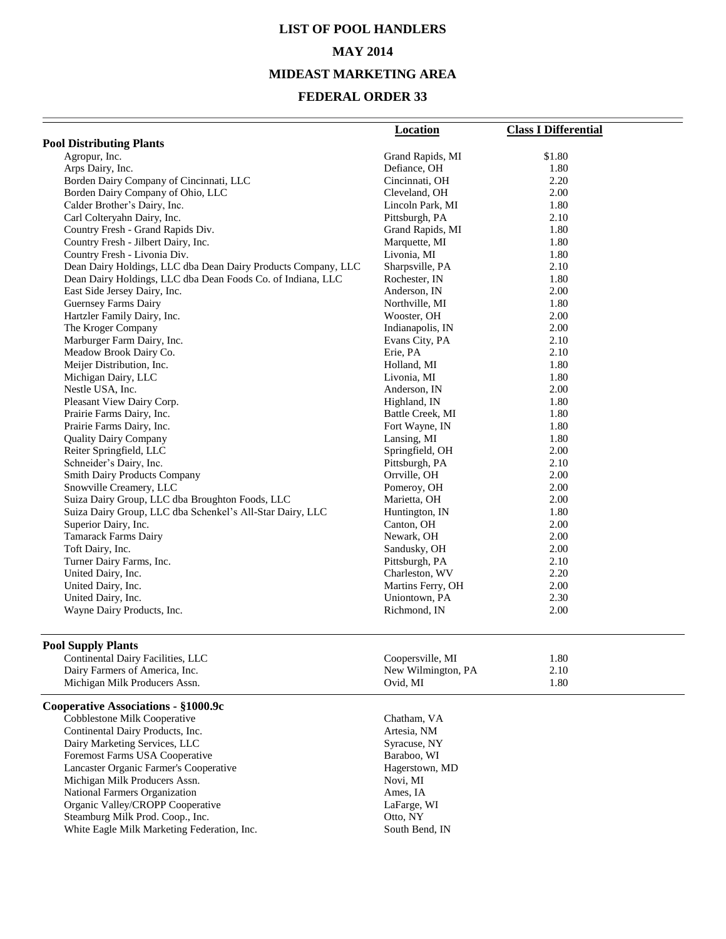## **LIST OF POOL HANDLERS MAY 2014 MIDEAST MARKETING AREA**

|                                                               | <b>Location</b>    | <b>Class I Differential</b> |
|---------------------------------------------------------------|--------------------|-----------------------------|
| <b>Pool Distributing Plants</b>                               |                    |                             |
| Agropur, Inc.                                                 | Grand Rapids, MI   | \$1.80                      |
| Arps Dairy, Inc.                                              | Defiance, OH       | 1.80                        |
| Borden Dairy Company of Cincinnati, LLC                       | Cincinnati, OH     | 2.20                        |
| Borden Dairy Company of Ohio, LLC                             | Cleveland, OH      | 2.00                        |
| Calder Brother's Dairy, Inc.                                  | Lincoln Park, MI   | 1.80                        |
| Carl Colteryahn Dairy, Inc.                                   | Pittsburgh, PA     | 2.10                        |
| Country Fresh - Grand Rapids Div.                             | Grand Rapids, MI   | 1.80                        |
| Country Fresh - Jilbert Dairy, Inc.                           | Marquette, MI      | 1.80                        |
| Country Fresh - Livonia Div.                                  | Livonia, MI        | 1.80                        |
| Dean Dairy Holdings, LLC dba Dean Dairy Products Company, LLC | Sharpsville, PA    | 2.10                        |
| Dean Dairy Holdings, LLC dba Dean Foods Co. of Indiana, LLC   | Rochester, IN      | 1.80                        |
| East Side Jersey Dairy, Inc.                                  | Anderson, IN       | 2.00                        |
| Guernsey Farms Dairy                                          | Northville, MI     | 1.80                        |
| Hartzler Family Dairy, Inc.                                   | Wooster, OH        | 2.00                        |
| The Kroger Company                                            | Indianapolis, IN   | 2.00                        |
| Marburger Farm Dairy, Inc.                                    | Evans City, PA     | 2.10                        |
| Meadow Brook Dairy Co.                                        | Erie, PA           | 2.10                        |
| Meijer Distribution, Inc.                                     | Holland, MI        | 1.80                        |
| Michigan Dairy, LLC                                           | Livonia, MI        | 1.80                        |
| Nestle USA, Inc.                                              | Anderson, IN       | 2.00                        |
| Pleasant View Dairy Corp.                                     | Highland, IN       | 1.80                        |
| Prairie Farms Dairy, Inc.                                     | Battle Creek, MI   | 1.80                        |
| Prairie Farms Dairy, Inc.                                     | Fort Wayne, IN     | 1.80                        |
| <b>Quality Dairy Company</b>                                  | Lansing, MI        | 1.80                        |
| Reiter Springfield, LLC                                       | Springfield, OH    | 2.00                        |
| Schneider's Dairy, Inc.                                       | Pittsburgh, PA     | 2.10                        |
| <b>Smith Dairy Products Company</b>                           | Orrville, OH       | 2.00                        |
| Snowville Creamery, LLC                                       | Pomeroy, OH        | 2.00                        |
| Suiza Dairy Group, LLC dba Broughton Foods, LLC               | Marietta, OH       | 2.00                        |
| Suiza Dairy Group, LLC dba Schenkel's All-Star Dairy, LLC     | Huntington, IN     | 1.80                        |
| Superior Dairy, Inc.                                          | Canton, OH         | 2.00                        |
| <b>Tamarack Farms Dairy</b>                                   | Newark, OH         | 2.00                        |
| Toft Dairy, Inc.                                              | Sandusky, OH       | 2.00                        |
| Turner Dairy Farms, Inc.                                      | Pittsburgh, PA     | 2.10                        |
| United Dairy, Inc.                                            | Charleston, WV     | 2.20                        |
| United Dairy, Inc.                                            | Martins Ferry, OH  | 2.00                        |
| United Dairy, Inc.                                            | Uniontown, PA      | 2.30                        |
| Wayne Dairy Products, Inc.                                    | Richmond, IN       | 2.00                        |
| <b>Pool Supply Plants</b>                                     |                    |                             |
| Continental Dairy Facilities, LLC                             | Coopersville, MI   | 1.80                        |
| Dairy Farmers of America, Inc.                                | New Wilmington, PA | 2.10                        |
| Michigan Milk Producers Assn.                                 | Ovid, MI           | 1.80                        |
| Cooperative Associations - §1000.9c                           |                    |                             |
| Cobblestone Milk Cooperative                                  | Chatham, VA        |                             |
| Continental Dairy Products, Inc.                              | Artesia, NM        |                             |
| Dairy Marketing Services, LLC                                 | Syracuse, NY       |                             |
| Foremost Farms USA Cooperative                                | Baraboo, WI        |                             |
| Lancaster Organic Farmer's Cooperative                        | Hagerstown, MD     |                             |
| Michigan Milk Producers Assn.                                 | Novi, MI           |                             |
| National Farmers Organization                                 | Ames, IA           |                             |
| Organic Valley/CROPP Cooperative                              | LaFarge, WI        |                             |
| Steamburg Milk Prod. Coop., Inc.                              | Otto, NY           |                             |
| White Eagle Milk Marketing Federation, Inc.                   | South Bend, IN     |                             |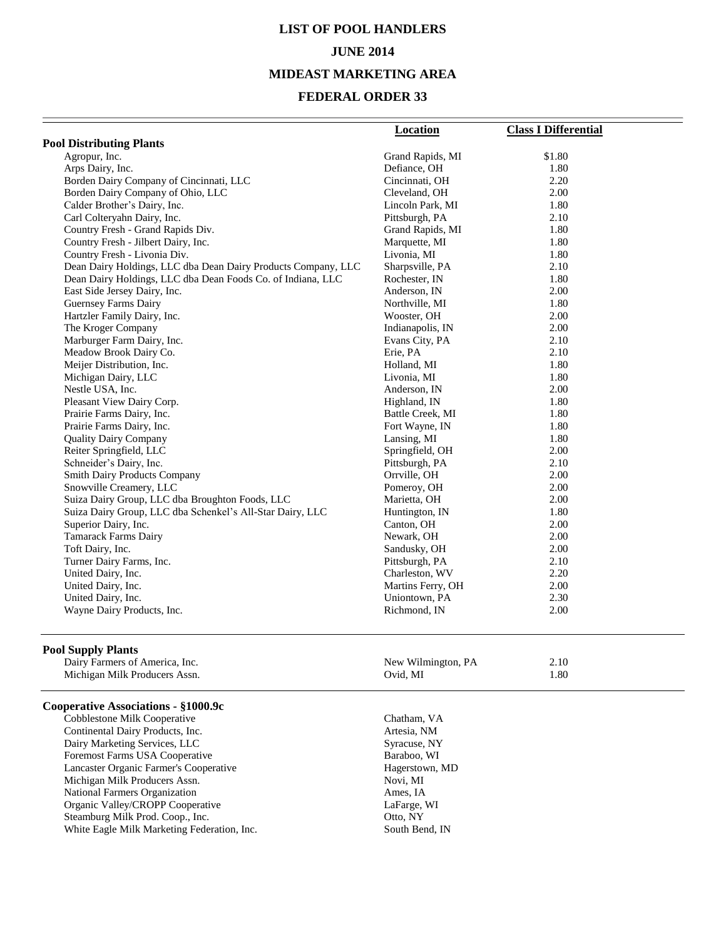### **LIST OF POOL HANDLERS JUNE 2014 MIDEAST MARKETING AREA**

|                                                               | <b>Location</b>    | <b>Class I Differential</b> |
|---------------------------------------------------------------|--------------------|-----------------------------|
| <b>Pool Distributing Plants</b>                               |                    |                             |
| Agropur, Inc.                                                 | Grand Rapids, MI   | \$1.80                      |
| Arps Dairy, Inc.                                              | Defiance, OH       | 1.80                        |
| Borden Dairy Company of Cincinnati, LLC                       | Cincinnati, OH     | 2.20                        |
| Borden Dairy Company of Ohio, LLC                             | Cleveland, OH      | 2.00                        |
| Calder Brother's Dairy, Inc.                                  | Lincoln Park, MI   | 1.80                        |
| Carl Colteryahn Dairy, Inc.                                   | Pittsburgh, PA     | 2.10                        |
| Country Fresh - Grand Rapids Div.                             | Grand Rapids, MI   | 1.80                        |
| Country Fresh - Jilbert Dairy, Inc.                           | Marquette, MI      | 1.80                        |
| Country Fresh - Livonia Div.                                  | Livonia, MI        | 1.80                        |
| Dean Dairy Holdings, LLC dba Dean Dairy Products Company, LLC | Sharpsville, PA    | 2.10                        |
| Dean Dairy Holdings, LLC dba Dean Foods Co. of Indiana, LLC   | Rochester, IN      | 1.80                        |
| East Side Jersey Dairy, Inc.                                  | Anderson, IN       | 2.00                        |
| Guernsey Farms Dairy                                          | Northville, MI     | 1.80                        |
| Hartzler Family Dairy, Inc.                                   | Wooster, OH        | 2.00                        |
| The Kroger Company                                            | Indianapolis, IN   | 2.00                        |
| Marburger Farm Dairy, Inc.                                    | Evans City, PA     | 2.10                        |
| Meadow Brook Dairy Co.                                        | Erie, PA           | 2.10                        |
| Meijer Distribution, Inc.                                     | Holland, MI        | 1.80                        |
| Michigan Dairy, LLC                                           | Livonia, MI        | 1.80                        |
| Nestle USA, Inc.                                              | Anderson, IN       | 2.00                        |
| Pleasant View Dairy Corp.                                     | Highland, IN       | 1.80                        |
| Prairie Farms Dairy, Inc.                                     | Battle Creek, MI   | 1.80                        |
| Prairie Farms Dairy, Inc.                                     | Fort Wayne, IN     | 1.80                        |
| <b>Quality Dairy Company</b>                                  | Lansing, MI        | 1.80                        |
| Reiter Springfield, LLC                                       | Springfield, OH    | 2.00                        |
| Schneider's Dairy, Inc.                                       | Pittsburgh, PA     | 2.10                        |
| <b>Smith Dairy Products Company</b>                           | Orrville, OH       | 2.00                        |
| Snowville Creamery, LLC                                       | Pomeroy, OH        | 2.00                        |
| Suiza Dairy Group, LLC dba Broughton Foods, LLC               | Marietta, OH       | 2.00                        |
| Suiza Dairy Group, LLC dba Schenkel's All-Star Dairy, LLC     | Huntington, IN     | 1.80                        |
| Superior Dairy, Inc.                                          | Canton, OH         | 2.00                        |
| Tamarack Farms Dairy                                          | Newark, OH         | 2.00                        |
| Toft Dairy, Inc.                                              | Sandusky, OH       | 2.00                        |
| Turner Dairy Farms, Inc.                                      | Pittsburgh, PA     | 2.10                        |
| United Dairy, Inc.                                            | Charleston, WV     | 2.20                        |
| United Dairy, Inc.                                            | Martins Ferry, OH  | 2.00                        |
| United Dairy, Inc.                                            | Uniontown, PA      | 2.30                        |
| Wayne Dairy Products, Inc.                                    | Richmond, IN       | 2.00                        |
|                                                               |                    |                             |
| <b>Pool Supply Plants</b>                                     |                    |                             |
| Dairy Farmers of America, Inc.                                | New Wilmington, PA | 2.10                        |
| Michigan Milk Producers Assn.                                 | Ovid, MI           | 1.80                        |
| Cooperative Associations - §1000.9c                           |                    |                             |
| Cobblestone Milk Cooperative                                  | Chatham, VA        |                             |
| Continental Dairy Products, Inc.                              | Artesia, NM        |                             |
| Dairy Marketing Services, LLC                                 | Syracuse, NY       |                             |
| Foremost Farms USA Cooperative                                | Baraboo, WI        |                             |
| Lancaster Organic Farmer's Cooperative                        | Hagerstown, MD     |                             |
| Michigan Milk Producers Assn.                                 | Novi, MI           |                             |
| National Farmers Organization                                 | Ames, IA           |                             |
| Organic Valley/CROPP Cooperative                              | LaFarge, WI        |                             |
| Steamburg Milk Prod. Coop., Inc.                              | Otto, NY           |                             |
| White Eagle Milk Marketing Federation, Inc.                   | South Bend, IN     |                             |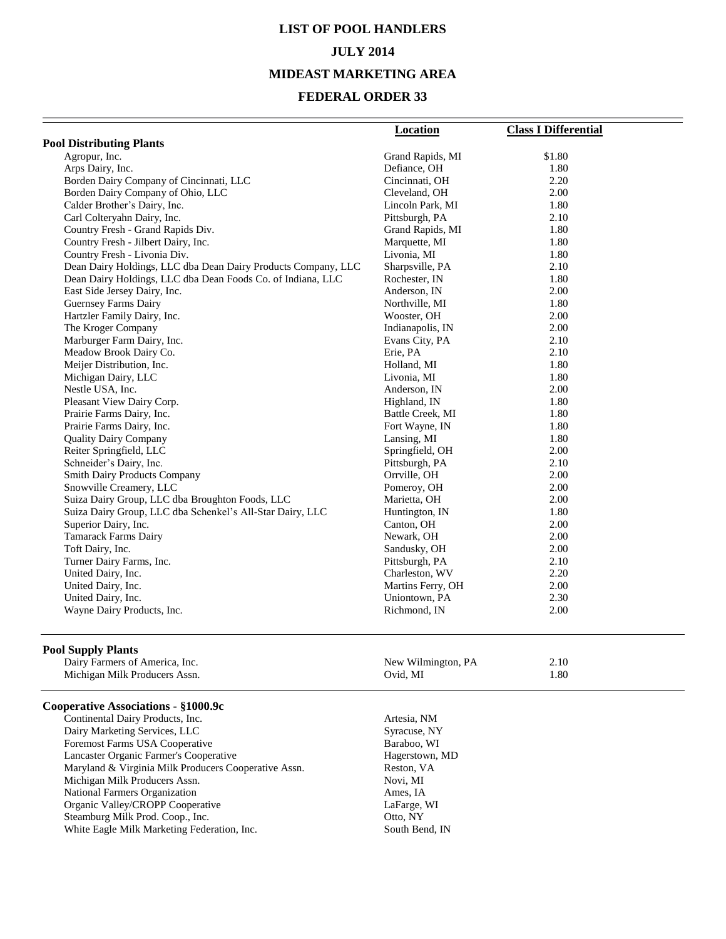## **LIST OF POOL HANDLERS JULY 2014 MIDEAST MARKETING AREA**

|                                                               | <b>Location</b>    | <b>Class I Differential</b> |
|---------------------------------------------------------------|--------------------|-----------------------------|
| <b>Pool Distributing Plants</b>                               |                    |                             |
| Agropur, Inc.                                                 | Grand Rapids, MI   | \$1.80                      |
| Arps Dairy, Inc.                                              | Defiance, OH       | 1.80                        |
| Borden Dairy Company of Cincinnati, LLC                       | Cincinnati, OH     | 2.20                        |
| Borden Dairy Company of Ohio, LLC                             | Cleveland, OH      | 2.00                        |
| Calder Brother's Dairy, Inc.                                  | Lincoln Park, MI   | 1.80                        |
| Carl Colteryahn Dairy, Inc.                                   | Pittsburgh, PA     | 2.10                        |
| Country Fresh - Grand Rapids Div.                             | Grand Rapids, MI   | 1.80                        |
| Country Fresh - Jilbert Dairy, Inc.                           | Marquette, MI      | 1.80                        |
|                                                               | Livonia, MI        | 1.80                        |
| Country Fresh - Livonia Div.                                  |                    |                             |
| Dean Dairy Holdings, LLC dba Dean Dairy Products Company, LLC | Sharpsville, PA    | 2.10<br>1.80                |
| Dean Dairy Holdings, LLC dba Dean Foods Co. of Indiana, LLC   | Rochester, IN      |                             |
| East Side Jersey Dairy, Inc.                                  | Anderson, IN       | 2.00                        |
| Guernsey Farms Dairy                                          | Northville, MI     | 1.80                        |
| Hartzler Family Dairy, Inc.                                   | Wooster, OH        | 2.00                        |
| The Kroger Company                                            | Indianapolis, IN   | 2.00                        |
| Marburger Farm Dairy, Inc.                                    | Evans City, PA     | 2.10                        |
| Meadow Brook Dairy Co.                                        | Erie, PA           | 2.10                        |
| Meijer Distribution, Inc.                                     | Holland, MI        | 1.80                        |
| Michigan Dairy, LLC                                           | Livonia, MI        | 1.80                        |
| Nestle USA, Inc.                                              | Anderson, IN       | 2.00                        |
| Pleasant View Dairy Corp.                                     | Highland, IN       | 1.80                        |
| Prairie Farms Dairy, Inc.                                     | Battle Creek, MI   | 1.80                        |
| Prairie Farms Dairy, Inc.                                     | Fort Wayne, IN     | 1.80                        |
| <b>Quality Dairy Company</b>                                  | Lansing, MI        | 1.80                        |
| Reiter Springfield, LLC                                       | Springfield, OH    | 2.00                        |
| Schneider's Dairy, Inc.                                       | Pittsburgh, PA     | 2.10                        |
| <b>Smith Dairy Products Company</b>                           | Orrville, OH       | 2.00                        |
| Snowville Creamery, LLC                                       | Pomeroy, OH        | 2.00                        |
| Suiza Dairy Group, LLC dba Broughton Foods, LLC               | Marietta, OH       | 2.00                        |
| Suiza Dairy Group, LLC dba Schenkel's All-Star Dairy, LLC     | Huntington, IN     | 1.80                        |
| Superior Dairy, Inc.                                          | Canton, OH         | 2.00                        |
| <b>Tamarack Farms Dairy</b>                                   | Newark, OH         | 2.00                        |
| Toft Dairy, Inc.                                              | Sandusky, OH       | 2.00                        |
| Turner Dairy Farms, Inc.                                      | Pittsburgh, PA     | 2.10                        |
| United Dairy, Inc.                                            | Charleston, WV     | 2.20                        |
| United Dairy, Inc.                                            | Martins Ferry, OH  | 2.00                        |
| United Dairy, Inc.                                            | Uniontown, PA      | 2.30                        |
| Wayne Dairy Products, Inc.                                    | Richmond, IN       | 2.00                        |
| <b>Pool Supply Plants</b>                                     |                    |                             |
| Dairy Farmers of America, Inc.                                | New Wilmington, PA | 2.10                        |
| Michigan Milk Producers Assn.                                 | Ovid, MI           | 1.80                        |
| Cooperative Associations - §1000.9c                           |                    |                             |
| Continental Dairy Products, Inc.                              | Artesia, NM        |                             |
| Dairy Marketing Services, LLC                                 | Syracuse, NY       |                             |
| Foremost Farms USA Cooperative                                | Baraboo, WI        |                             |
| Lancaster Organic Farmer's Cooperative                        | Hagerstown, MD     |                             |
| Maryland & Virginia Milk Producers Cooperative Assn.          | Reston, VA         |                             |
| Michigan Milk Producers Assn.                                 | Novi, MI           |                             |
| National Farmers Organization                                 | Ames, IA           |                             |
| Organic Valley/CROPP Cooperative                              | LaFarge, WI        |                             |
| Steamburg Milk Prod. Coop., Inc.                              | Otto, NY           |                             |
| White Eagle Milk Marketing Federation, Inc.                   | South Bend, IN     |                             |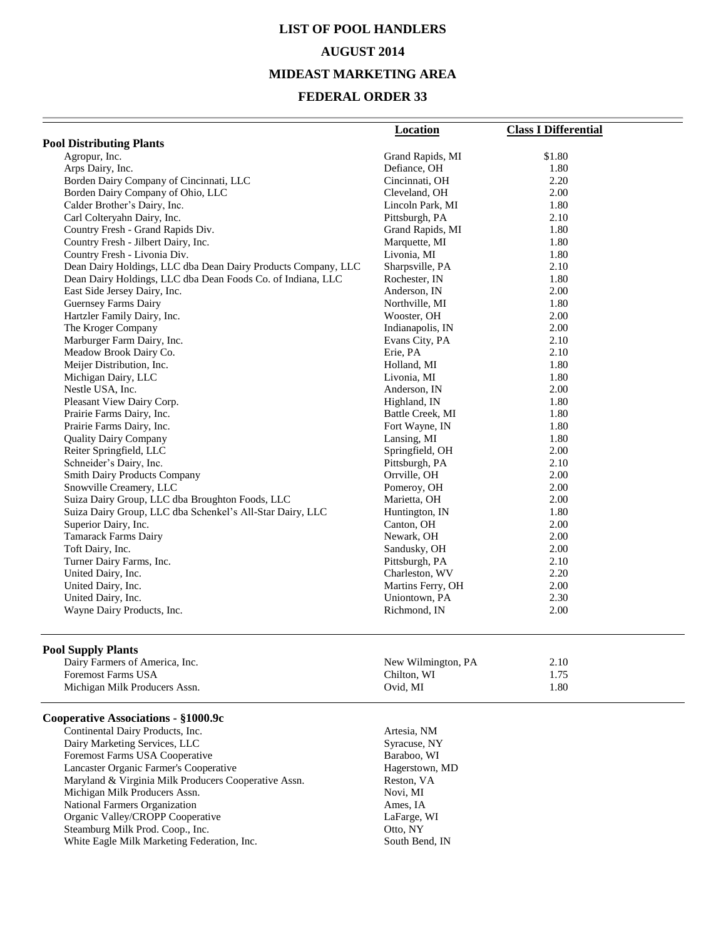### **LIST OF POOL HANDLERS AUGUST 2014 MIDEAST MARKETING AREA**

|                                                               | <b>Location</b>    | <b>Class I Differential</b> |
|---------------------------------------------------------------|--------------------|-----------------------------|
| <b>Pool Distributing Plants</b>                               |                    |                             |
| Agropur, Inc.                                                 | Grand Rapids, MI   | \$1.80                      |
| Arps Dairy, Inc.                                              | Defiance, OH       | 1.80                        |
| Borden Dairy Company of Cincinnati, LLC                       | Cincinnati, OH     | 2.20                        |
| Borden Dairy Company of Ohio, LLC                             | Cleveland, OH      | 2.00                        |
| Calder Brother's Dairy, Inc.                                  | Lincoln Park, MI   | 1.80                        |
| Carl Colteryahn Dairy, Inc.                                   | Pittsburgh, PA     | 2.10                        |
| Country Fresh - Grand Rapids Div.                             | Grand Rapids, MI   | 1.80                        |
| Country Fresh - Jilbert Dairy, Inc.                           | Marquette, MI      | 1.80                        |
| Country Fresh - Livonia Div.                                  | Livonia, MI        | 1.80                        |
| Dean Dairy Holdings, LLC dba Dean Dairy Products Company, LLC | Sharpsville, PA    | 2.10                        |
| Dean Dairy Holdings, LLC dba Dean Foods Co. of Indiana, LLC   | Rochester, IN      | 1.80                        |
| East Side Jersey Dairy, Inc.                                  | Anderson, IN       | 2.00                        |
| Guernsey Farms Dairy                                          | Northville, MI     | 1.80                        |
| Hartzler Family Dairy, Inc.                                   | Wooster, OH        | 2.00                        |
| The Kroger Company                                            | Indianapolis, IN   | 2.00                        |
| Marburger Farm Dairy, Inc.                                    | Evans City, PA     | 2.10                        |
| Meadow Brook Dairy Co.                                        | Erie, PA           | 2.10                        |
| Meijer Distribution, Inc.                                     | Holland, MI        | 1.80                        |
| Michigan Dairy, LLC                                           | Livonia, MI        | 1.80                        |
| Nestle USA, Inc.                                              | Anderson, IN       | 2.00                        |
| Pleasant View Dairy Corp.                                     | Highland, IN       | 1.80                        |
| Prairie Farms Dairy, Inc.                                     | Battle Creek, MI   | 1.80                        |
| Prairie Farms Dairy, Inc.                                     | Fort Wayne, IN     | 1.80                        |
| <b>Quality Dairy Company</b>                                  | Lansing, MI        | 1.80                        |
| Reiter Springfield, LLC                                       | Springfield, OH    | 2.00                        |
| Schneider's Dairy, Inc.                                       | Pittsburgh, PA     | 2.10                        |
| <b>Smith Dairy Products Company</b>                           | Orrville, OH       | 2.00                        |
| Snowville Creamery, LLC                                       | Pomeroy, OH        | 2.00                        |
| Suiza Dairy Group, LLC dba Broughton Foods, LLC               | Marietta, OH       | 2.00                        |
| Suiza Dairy Group, LLC dba Schenkel's All-Star Dairy, LLC     | Huntington, IN     | 1.80                        |
| Superior Dairy, Inc.                                          | Canton, OH         | 2.00                        |
| <b>Tamarack Farms Dairy</b>                                   | Newark, OH         | 2.00                        |
| Toft Dairy, Inc.                                              | Sandusky, OH       | 2.00                        |
| Turner Dairy Farms, Inc.                                      | Pittsburgh, PA     | 2.10                        |
| United Dairy, Inc.                                            | Charleston, WV     | 2.20                        |
| United Dairy, Inc.                                            | Martins Ferry, OH  | 2.00                        |
| United Dairy, Inc.                                            | Uniontown, PA      | 2.30                        |
| Wayne Dairy Products, Inc.                                    | Richmond, IN       | 2.00                        |
| <b>Pool Supply Plants</b>                                     |                    |                             |
| Dairy Farmers of America, Inc.                                | New Wilmington, PA | 2.10                        |
| Foremost Farms USA                                            | Chilton, WI        | 1.75                        |
| Michigan Milk Producers Assn.                                 | Ovid, MI           | 1.80                        |
| Cooperative Associations - §1000.9c                           |                    |                             |
| Continental Dairy Products, Inc.                              | Artesia, NM        |                             |
| Dairy Marketing Services, LLC                                 | Syracuse, NY       |                             |
| Foremost Farms USA Cooperative                                | Baraboo, WI        |                             |
| Lancaster Organic Farmer's Cooperative                        | Hagerstown, MD     |                             |
| Maryland & Virginia Milk Producers Cooperative Assn.          | Reston, VA         |                             |
| Michigan Milk Producers Assn.                                 | Novi, MI           |                             |
| National Farmers Organization                                 | Ames, IA           |                             |
| Organic Valley/CROPP Cooperative                              | LaFarge, WI        |                             |
| Steamburg Milk Prod. Coop., Inc.                              | Otto, NY           |                             |
| White Eagle Milk Marketing Federation, Inc.                   | South Bend, IN     |                             |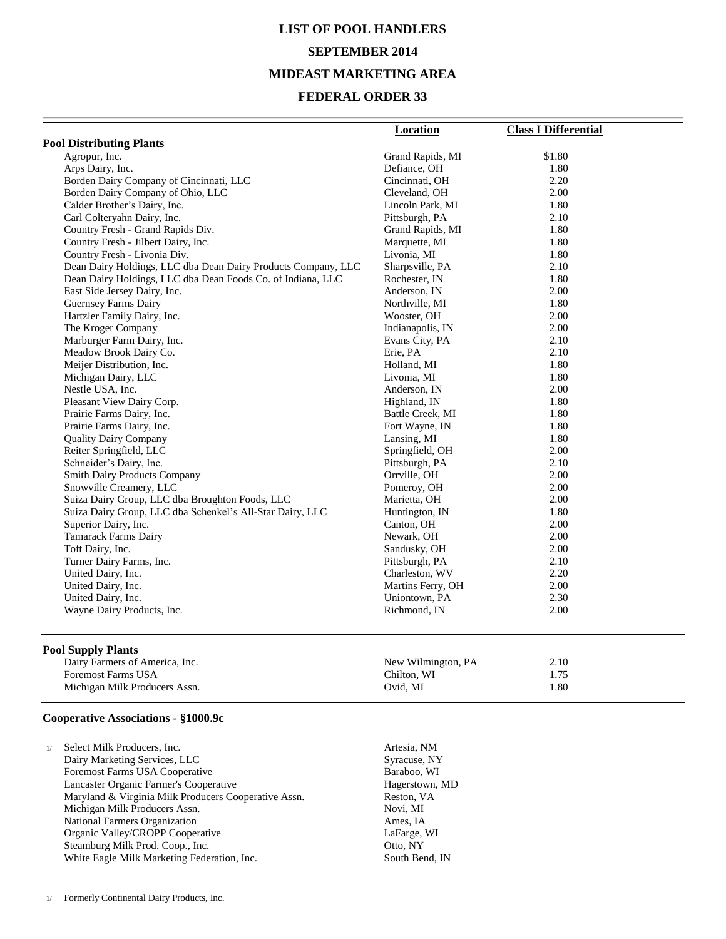# **LIST OF POOL HANDLERS SEPTEMBER 2014 MIDEAST MARKETING AREA**

#### **FEDERAL ORDER 33**

|                                                               | Location           | <b>Class I Differential</b> |
|---------------------------------------------------------------|--------------------|-----------------------------|
| <b>Pool Distributing Plants</b>                               |                    |                             |
| Agropur, Inc.                                                 | Grand Rapids, MI   | \$1.80                      |
| Arps Dairy, Inc.                                              | Defiance, OH       | 1.80                        |
| Borden Dairy Company of Cincinnati, LLC                       | Cincinnati, OH     | 2.20                        |
| Borden Dairy Company of Ohio, LLC                             | Cleveland, OH      | 2.00                        |
| Calder Brother's Dairy, Inc.                                  | Lincoln Park, MI   | 1.80                        |
| Carl Colteryahn Dairy, Inc.                                   | Pittsburgh, PA     | 2.10                        |
| Country Fresh - Grand Rapids Div.                             | Grand Rapids, MI   | 1.80                        |
| Country Fresh - Jilbert Dairy, Inc.                           | Marquette, MI      | 1.80                        |
| Country Fresh - Livonia Div.                                  | Livonia, MI        | 1.80                        |
| Dean Dairy Holdings, LLC dba Dean Dairy Products Company, LLC | Sharpsville, PA    | 2.10                        |
| Dean Dairy Holdings, LLC dba Dean Foods Co. of Indiana, LLC   | Rochester, IN      | 1.80                        |
| East Side Jersey Dairy, Inc.                                  | Anderson, IN       | 2.00                        |
| Guernsey Farms Dairy                                          | Northville, MI     | 1.80                        |
| Hartzler Family Dairy, Inc.                                   | Wooster, OH        | 2.00                        |
| The Kroger Company                                            | Indianapolis, IN   | 2.00                        |
| Marburger Farm Dairy, Inc.                                    | Evans City, PA     | 2.10                        |
| Meadow Brook Dairy Co.                                        | Erie, PA           | 2.10                        |
| Meijer Distribution, Inc.                                     | Holland, MI        | 1.80                        |
| Michigan Dairy, LLC                                           | Livonia, MI        | 1.80                        |
| Nestle USA, Inc.                                              | Anderson, IN       | 2.00                        |
| Pleasant View Dairy Corp.                                     | Highland, IN       | 1.80                        |
| Prairie Farms Dairy, Inc.                                     | Battle Creek, MI   | 1.80                        |
| Prairie Farms Dairy, Inc.                                     | Fort Wayne, IN     | 1.80                        |
| <b>Quality Dairy Company</b>                                  | Lansing, MI        | 1.80                        |
| Reiter Springfield, LLC                                       | Springfield, OH    | 2.00                        |
| Schneider's Dairy, Inc.                                       | Pittsburgh, PA     | 2.10                        |
| <b>Smith Dairy Products Company</b>                           | Orrville, OH       | 2.00                        |
| Snowville Creamery, LLC                                       | Pomeroy, OH        | 2.00                        |
| Suiza Dairy Group, LLC dba Broughton Foods, LLC               | Marietta, OH       | 2.00                        |
| Suiza Dairy Group, LLC dba Schenkel's All-Star Dairy, LLC     | Huntington, IN     | 1.80                        |
| Superior Dairy, Inc.                                          | Canton, OH         | 2.00                        |
| <b>Tamarack Farms Dairy</b>                                   | Newark, OH         | 2.00                        |
|                                                               |                    | 2.00                        |
| Toft Dairy, Inc.                                              | Sandusky, OH       |                             |
| Turner Dairy Farms, Inc.                                      | Pittsburgh, PA     | 2.10                        |
| United Dairy, Inc.                                            | Charleston, WV     | 2.20                        |
| United Dairy, Inc.                                            | Martins Ferry, OH  | 2.00                        |
| United Dairy, Inc.                                            | Uniontown, PA      | 2.30                        |
| Wayne Dairy Products, Inc.                                    | Richmond, IN       | 2.00                        |
| <b>Pool Supply Plants</b>                                     |                    |                             |
| Dairy Farmers of America, Inc.                                | New Wilmington, PA | 2.10                        |
| <b>Foremost Farms USA</b>                                     | Chilton, WI        | 1.75                        |
| Michigan Milk Producers Assn.                                 | Ovid, MI           | 1.80                        |
|                                                               |                    |                             |

#### **Cooperative Associations - §1000.9c**

| Select Milk Producers, Inc.<br>1/                    | Artesia, NM    |
|------------------------------------------------------|----------------|
| Dairy Marketing Services, LLC                        | Syracuse, NY   |
| Foremost Farms USA Cooperative                       | Baraboo, WI    |
| Lancaster Organic Farmer's Cooperative               | Hagerstown, MD |
| Maryland & Virginia Milk Producers Cooperative Assn. | Reston, VA     |
| Michigan Milk Producers Assn.                        | Novi, MI       |
| National Farmers Organization                        | Ames, IA       |
| Organic Valley/CROPP Cooperative                     | LaFarge, WI    |
| Steamburg Milk Prod. Coop., Inc.                     | Otto, NY       |
| White Eagle Milk Marketing Federation, Inc.          | South Bend, IN |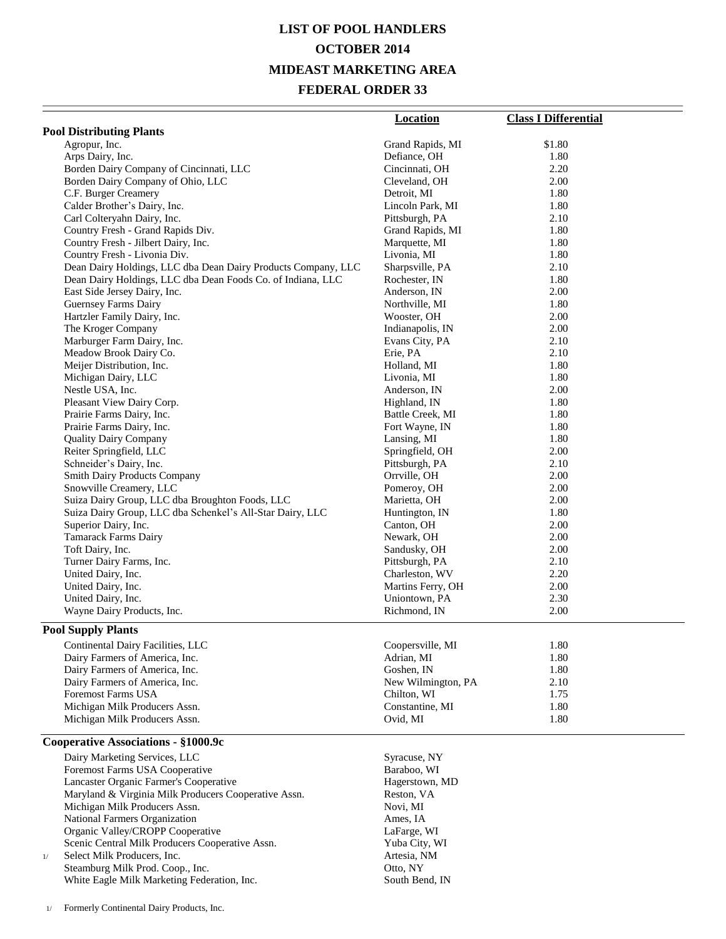### **LIST OF POOL HANDLERS OCTOBER 2014 MIDEAST MARKETING AREA FEDERAL ORDER 33**

|                                                                  | <b>Location</b>    | <b>Class I Differential</b> |
|------------------------------------------------------------------|--------------------|-----------------------------|
| <b>Pool Distributing Plants</b>                                  |                    |                             |
| Agropur, Inc.                                                    | Grand Rapids, MI   | \$1.80                      |
| Arps Dairy, Inc.                                                 | Defiance, OH       | 1.80                        |
| Borden Dairy Company of Cincinnati, LLC                          | Cincinnati, OH     | 2.20                        |
| Borden Dairy Company of Ohio, LLC                                | Cleveland, OH      | 2.00                        |
| C.F. Burger Creamery                                             | Detroit, MI        | 1.80                        |
| Calder Brother's Dairy, Inc.                                     | Lincoln Park, MI   | 1.80                        |
| Carl Colteryahn Dairy, Inc.                                      | Pittsburgh, PA     | 2.10                        |
| Country Fresh - Grand Rapids Div.                                | Grand Rapids, MI   | 1.80                        |
| Country Fresh - Jilbert Dairy, Inc.                              | Marquette, MI      | 1.80                        |
| Country Fresh - Livonia Div.                                     | Livonia, MI        | 1.80                        |
| Dean Dairy Holdings, LLC dba Dean Dairy Products Company, LLC    | Sharpsville, PA    | 2.10                        |
| Dean Dairy Holdings, LLC dba Dean Foods Co. of Indiana, LLC      | Rochester, IN      | 1.80                        |
| East Side Jersey Dairy, Inc.                                     | Anderson, IN       | 2.00                        |
| Guernsey Farms Dairy                                             | Northville, MI     | 1.80                        |
| Hartzler Family Dairy, Inc.                                      | Wooster, OH        | 2.00                        |
| The Kroger Company                                               | Indianapolis, IN   | 2.00                        |
| Marburger Farm Dairy, Inc.                                       | Evans City, PA     | 2.10                        |
| Meadow Brook Dairy Co.                                           | Erie, PA           | 2.10                        |
| Meijer Distribution, Inc.                                        | Holland, MI        | 1.80                        |
| Michigan Dairy, LLC                                              | Livonia, MI        | 1.80                        |
| Nestle USA, Inc.                                                 | Anderson, IN       | 2.00                        |
| Pleasant View Dairy Corp.                                        | Highland, IN       | 1.80                        |
| Prairie Farms Dairy, Inc.                                        | Battle Creek, MI   | 1.80                        |
| Prairie Farms Dairy, Inc.                                        | Fort Wayne, IN     | 1.80                        |
| <b>Quality Dairy Company</b>                                     | Lansing, MI        | 1.80                        |
| Reiter Springfield, LLC                                          | Springfield, OH    | 2.00                        |
| Schneider's Dairy, Inc.                                          | Pittsburgh, PA     | 2.10                        |
| Smith Dairy Products Company                                     | Orrville, OH       | 2.00                        |
| Snowville Creamery, LLC                                          | Pomeroy, OH        | 2.00                        |
| Suiza Dairy Group, LLC dba Broughton Foods, LLC                  | Marietta, OH       | 2.00                        |
| Suiza Dairy Group, LLC dba Schenkel's All-Star Dairy, LLC        | Huntington, IN     | 1.80                        |
| Superior Dairy, Inc.                                             | Canton, OH         | 2.00                        |
| Tamarack Farms Dairy                                             | Newark, OH         | 2.00                        |
| Toft Dairy, Inc.                                                 | Sandusky, OH       | 2.00                        |
| Turner Dairy Farms, Inc.                                         | Pittsburgh, PA     | 2.10                        |
| United Dairy, Inc.                                               | Charleston, WV     | 2.20                        |
| United Dairy, Inc.                                               | Martins Ferry, OH  | 2.00                        |
| United Dairy, Inc.                                               | Uniontown, PA      | 2.30                        |
| Wayne Dairy Products, Inc.                                       | Richmond, IN       | 2.00                        |
| <b>Pool Supply Plants</b>                                        |                    |                             |
|                                                                  |                    |                             |
| Continental Dairy Facilities, LLC                                | Coopersville, MI   | 1.80                        |
| Dairy Farmers of America, Inc.<br>Dairy Farmers of America, Inc. | Adrian, MI         | 1.80                        |
|                                                                  | Goshen, IN         | 1.80                        |
| Dairy Farmers of America, Inc.                                   | New Wilmington, PA | 2.10                        |
| <b>Foremost Farms USA</b>                                        | Chilton, WI        | 1.75                        |
| Michigan Milk Producers Assn.                                    | Constantine, MI    | 1.80                        |
| Michigan Milk Producers Assn.                                    | Ovid, MI           | 1.80                        |
| Cooperative Associations - §1000.9c                              |                    |                             |
|                                                                  |                    |                             |

|    | Dairy Marketing Services, LLC                        | Syracuse, NY   |
|----|------------------------------------------------------|----------------|
|    | Foremost Farms USA Cooperative                       | Baraboo, WI    |
|    | Lancaster Organic Farmer's Cooperative               | Hagerstown, MD |
|    | Maryland & Virginia Milk Producers Cooperative Assn. | Reston, VA     |
|    | Michigan Milk Producers Assn.                        | Novi, MI       |
|    | National Farmers Organization                        | Ames, IA       |
|    | Organic Valley/CROPP Cooperative                     | LaFarge, WI    |
|    | Scenic Central Milk Producers Cooperative Assn.      | Yuba City, WI  |
| 1/ | Select Milk Producers, Inc.                          | Artesia, NM    |
|    | Steamburg Milk Prod. Coop., Inc.                     | Otto, NY       |
|    | White Eagle Milk Marketing Federation, Inc.          | South Bend, IN |
|    |                                                      |                |

1/ Formerly Continental Dairy Products, Inc.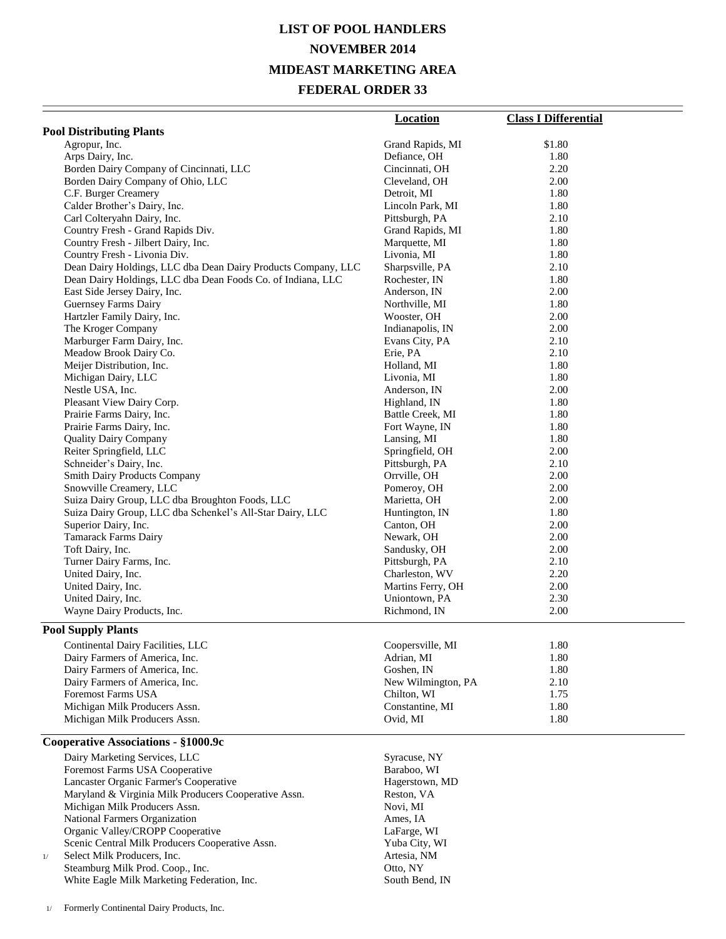### **LIST OF POOL HANDLERS NOVEMBER 2014 MIDEAST MARKETING AREA FEDERAL ORDER 33**

|                                                               | <b>Location</b>    | <b>Class I Differential</b> |
|---------------------------------------------------------------|--------------------|-----------------------------|
| <b>Pool Distributing Plants</b>                               |                    |                             |
| Agropur, Inc.                                                 | Grand Rapids, MI   | \$1.80                      |
| Arps Dairy, Inc.                                              | Defiance, OH       | 1.80                        |
| Borden Dairy Company of Cincinnati, LLC                       | Cincinnati, OH     | 2.20                        |
| Borden Dairy Company of Ohio, LLC                             | Cleveland, OH      | 2.00                        |
| C.F. Burger Creamery                                          | Detroit, MI        | 1.80                        |
| Calder Brother's Dairy, Inc.                                  | Lincoln Park, MI   | 1.80                        |
| Carl Colteryahn Dairy, Inc.                                   | Pittsburgh, PA     | 2.10                        |
| Country Fresh - Grand Rapids Div.                             | Grand Rapids, MI   | 1.80                        |
| Country Fresh - Jilbert Dairy, Inc.                           | Marquette, MI      | 1.80                        |
| Country Fresh - Livonia Div.                                  | Livonia, MI        | 1.80                        |
| Dean Dairy Holdings, LLC dba Dean Dairy Products Company, LLC | Sharpsville, PA    | 2.10                        |
| Dean Dairy Holdings, LLC dba Dean Foods Co. of Indiana, LLC   | Rochester, IN      | 1.80                        |
| East Side Jersey Dairy, Inc.                                  | Anderson, IN       | 2.00                        |
| Guernsey Farms Dairy                                          | Northville, MI     | 1.80                        |
| Hartzler Family Dairy, Inc.                                   | Wooster, OH        | 2.00                        |
| The Kroger Company                                            | Indianapolis, IN   | 2.00                        |
| Marburger Farm Dairy, Inc.                                    | Evans City, PA     | 2.10                        |
| Meadow Brook Dairy Co.                                        | Erie, PA           | 2.10                        |
| Meijer Distribution, Inc.                                     | Holland, MI        | 1.80                        |
| Michigan Dairy, LLC                                           | Livonia, MI        | 1.80                        |
| Nestle USA, Inc.                                              | Anderson, IN       | 2.00                        |
| Pleasant View Dairy Corp.                                     | Highland, IN       | 1.80                        |
| Prairie Farms Dairy, Inc.                                     | Battle Creek, MI   | 1.80                        |
| Prairie Farms Dairy, Inc.                                     | Fort Wayne, IN     | 1.80                        |
| <b>Quality Dairy Company</b>                                  | Lansing, MI        | 1.80                        |
| Reiter Springfield, LLC                                       | Springfield, OH    | 2.00                        |
| Schneider's Dairy, Inc.                                       | Pittsburgh, PA     | 2.10                        |
| <b>Smith Dairy Products Company</b>                           | Orrville, OH       | 2.00                        |
| Snowville Creamery, LLC                                       | Pomeroy, OH        | 2.00                        |
| Suiza Dairy Group, LLC dba Broughton Foods, LLC               | Marietta, OH       | 2.00                        |
| Suiza Dairy Group, LLC dba Schenkel's All-Star Dairy, LLC     | Huntington, IN     | 1.80                        |
| Superior Dairy, Inc.                                          | Canton, OH         | 2.00                        |
| Tamarack Farms Dairy                                          | Newark, OH         | 2.00                        |
| Toft Dairy, Inc.                                              | Sandusky, OH       | 2.00                        |
| Turner Dairy Farms, Inc.                                      | Pittsburgh, PA     | 2.10                        |
| United Dairy, Inc.                                            | Charleston, WV     | 2.20                        |
| United Dairy, Inc.                                            | Martins Ferry, OH  | 2.00                        |
| United Dairy, Inc.                                            | Uniontown, PA      | 2.30                        |
| Wayne Dairy Products, Inc.                                    | Richmond, IN       | 2.00                        |
| <b>Pool Supply Plants</b>                                     |                    |                             |
| Continental Dairy Facilities, LLC                             | Coopersville, MI   | 1.80                        |
| Dairy Farmers of America, Inc.                                | Adrian, MI         | 1.80                        |
| Dairy Farmers of America, Inc.                                | Goshen, IN         | 1.80                        |
| Dairy Farmers of America, Inc.                                | New Wilmington, PA | 2.10                        |
| <b>Foremost Farms USA</b>                                     | Chilton, WI        | 1.75                        |
| Michigan Milk Producers Assn.                                 | Constantine, MI    | 1.80                        |
| Michigan Milk Producers Assn.                                 | Ovid, MI           | 1.80                        |
|                                                               |                    |                             |
| Cooperative Associations - §1000.9c                           |                    |                             |
| $Dcirc$ Montrating Conviges II.C.                             | $Cruno$ and $NN$   |                             |

|    | Dairy Marketing Services, LLC                        | Syracuse, NY   |
|----|------------------------------------------------------|----------------|
|    | Foremost Farms USA Cooperative                       | Baraboo, WI    |
|    | Lancaster Organic Farmer's Cooperative               | Hagerstown, MD |
|    | Maryland & Virginia Milk Producers Cooperative Assn. | Reston, VA     |
|    | Michigan Milk Producers Assn.                        | Novi, MI       |
|    | National Farmers Organization                        | Ames, IA       |
|    | Organic Valley/CROPP Cooperative                     | LaFarge, WI    |
|    | Scenic Central Milk Producers Cooperative Assn.      | Yuba City, WI  |
| 1/ | Select Milk Producers, Inc.                          | Artesia, NM    |
|    | Steamburg Milk Prod. Coop., Inc.                     | Otto, NY       |
|    | White Eagle Milk Marketing Federation, Inc.          | South Bend, IN |
|    |                                                      |                |

1/ Formerly Continental Dairy Products, Inc.